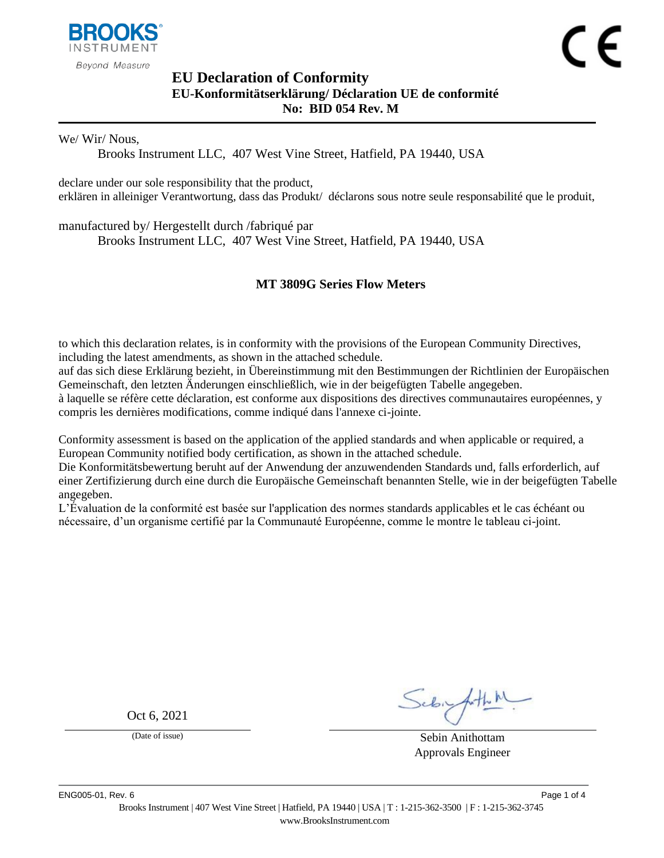

## <span id="page-0-1"></span><span id="page-0-0"></span>**EU Declaration of Conformity EU-Konformitätserklärung/ Déclaration UE de conformité No: BID 054 Rev. M**

We/ Wir/ Nous,

Brooks Instrument LLC, 407 West Vine Street, Hatfield, PA 19440, USA

declare under our sole responsibility that the product, erklären in alleiniger Verantwortung, dass das Produkt/ déclarons sous notre seule responsabilité que le produit,

manufactured by/ Hergestellt durch /fabriqué par

Brooks Instrument LLC, 407 West Vine Street, Hatfield, PA 19440, USA

### <span id="page-0-2"></span>**MT 3809G Series Flow Meters**

to which this declaration relates, is in conformity with the provisions of the European Community Directives, including the latest amendments, as shown in the attached schedule.

auf das sich diese Erklärung bezieht, in Übereinstimmung mit den Bestimmungen der Richtlinien der Europäischen Gemeinschaft, den letzten Änderungen einschließlich, wie in der beigefügten Tabelle angegeben.

à laquelle se réfère cette déclaration, est conforme aux dispositions des directives communautaires européennes, y compris les dernières modifications, comme indiqué dans l'annexe ci-jointe.

Conformity assessment is based on the application of the applied standards and when applicable or required, a European Community notified body certification, as shown in the attached schedule.

Die Konformitätsbewertung beruht auf der Anwendung der anzuwendenden Standards und, falls erforderlich, auf einer Zertifizierung durch eine durch die Europäische Gemeinschaft benannten Stelle, wie in der beigefügten Tabelle angegeben.

L'Évaluation de la conformité est basée sur l'application des normes standards applicables et le cas échéant ou nécessaire, d'un organisme certifié par la Communauté Européenne, comme le montre le tableau ci-joint.

Oct 6, 2021

(Date of issue) Sebin Anithottam Approvals Engineer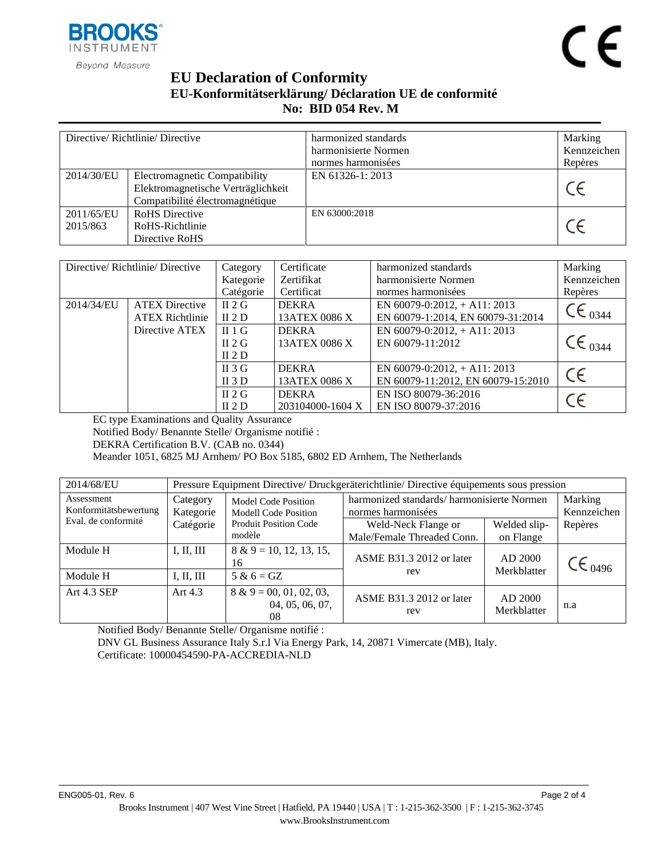

# **EU Declaration of Conformity EU-Konformitätserklärung/ Déclaration UE de conformité No: BID [054](#page-0-0) Rev. [M](#page-0-1)**

| Directive/Richtlinie/Directive |                                                                                                               | harmonized standards<br>harmonisierte Normen | Marking<br>Kennzeichen |
|--------------------------------|---------------------------------------------------------------------------------------------------------------|----------------------------------------------|------------------------|
|                                |                                                                                                               | normes harmonisées                           | Repères                |
| 2014/30/EU                     | <b>Electromagnetic Compatibility</b><br>Elektromagnetische Verträglichkeit<br>Compatibilité électromagnétique | EN 61326-1: 2013                             | $\epsilon$             |
| 2011/65/EU<br>2015/863         | <b>RoHS</b> Directive<br>RoHS-Richtlinie<br>Directive RoHS                                                    | EN 63000:2018                                |                        |

| Directive/Richtlinie/Directive |                        | Category  | Certificate      | harmonized standards               | Marking               |
|--------------------------------|------------------------|-----------|------------------|------------------------------------|-----------------------|
|                                |                        | Kategorie | Zertifikat       | harmonisierte Normen               | Kennzeichen           |
|                                |                        | Catégorie | Certificat       | normes harmonisées                 | Repères               |
| 2014/34/EU                     | <b>ATEX Directive</b>  | $\Pi$ 2 G | <b>DEKRA</b>     | EN $60079 - 0:2012$ , + A11: 2013  | $C \in C_{0344}$      |
|                                | <b>ATEX Richtlinie</b> | II 2 D    | 13ATEX 0086 X    | EN 60079-1:2014, EN 60079-31:2014  |                       |
|                                | Directive ATEX         | $\Pi$ 1 G | <b>DEKRA</b>     | EN $60079 - 0:2012$ , + A11: 2013  |                       |
|                                |                        | $\Pi$ 2 G | 13ATEX 0086 X    | EN 60079-11:2012                   | $\mathsf{CE}_{.0344}$ |
|                                |                        | II 2 D    |                  |                                    |                       |
|                                |                        | II 3 G    | <b>DEKRA</b>     | EN $60079 - 0:2012$ , + A11: 2013  | $\epsilon$            |
|                                |                        | II $3D$   | 13ATEX 0086 X    | EN 60079-11:2012, EN 60079-15:2010 |                       |
|                                |                        | $\Pi$ 2 G | <b>DEKRA</b>     | EN ISO 80079-36:2016               |                       |
|                                |                        | II 2 D    | 203104000-1604 X | EN ISO 80079-37:2016               |                       |

EC type Examinations and Quality Assurance

Notified Body/ Benannte Stelle/ Organisme notifié :

DEKRA Certification B.V. (CAB no. 0344)

Meander 1051, 6825 MJ Arnhem/ PO Box 5185, 6802 ED Arnhem, The Netherlands

| 2014/68/EU                          | Pressure Equipment Directive/ Druckgeräterichtlinie/ Directive équipements sous pression |                                                           |                                                                 |                        |                      |  |
|-------------------------------------|------------------------------------------------------------------------------------------|-----------------------------------------------------------|-----------------------------------------------------------------|------------------------|----------------------|--|
| Assessment<br>Konformitätsbewertung | Category<br>Kategorie                                                                    | <b>Model Code Position</b><br><b>Modell Code Position</b> | harmonized standards/harmonisierte Normen<br>normes harmonisées | Marking<br>Kennzeichen |                      |  |
| Eval. de conformité                 | Catégorie                                                                                | <b>Produit Position Code</b>                              | Weld-Neck Flange or                                             | Welded slip-           | Repères              |  |
|                                     |                                                                                          | modèle                                                    | Male/Female Threaded Conn.                                      | on Flange              |                      |  |
| Module H                            | I, II, III                                                                               | $8 & 9 = 10, 12, 13, 15,$<br>16                           | ASME B31.3 2012 or later                                        | AD 2000                | $\mathsf{CE}_{0496}$ |  |
| Module H                            | I, II, III                                                                               | $5 & 6 = GZ$                                              | rev                                                             | Merkblatter            |                      |  |
| <b>Art 4.3 SEP</b>                  | Art $4.3$                                                                                | $8 \& 9 = 00, 01, 02, 03,$<br>04, 05, 06, 07,<br>08       | <b>ASME B31.3 2012 or later</b><br>rev                          | AD 2000<br>Merkblatter | n.a                  |  |

Notified Body/ Benannte Stelle/ Organisme notifié :

DNV GL Business Assurance Italy S.r.l Via Energy Park, 14, 20871 Vimercate (MB), Italy. Certificate: 10000454590-PA-ACCREDIA-NLD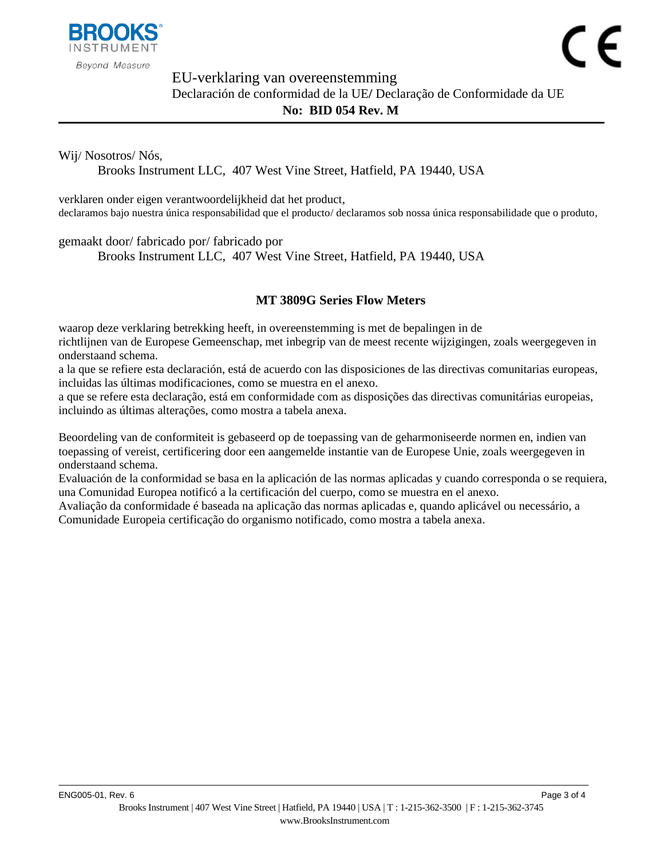

 $\epsilon$ 

EU-verklaring van overeenstemming

Declaración de conformidad de la UE**/** Declaração de Conformidade da UE **No: BID [054](#page-0-0) Rev. [M](#page-0-1)**

Wij/ Nosotros/ Nós,

Brooks Instrument LLC, 407 West Vine Street, Hatfield, PA 19440, USA

verklaren onder eigen verantwoordelijkheid dat het product, declaramos bajo nuestra única responsabilidad que el producto/ declaramos sob nossa única responsabilidade que o produto,

gemaakt door/ fabricado por/ fabricado por

Brooks Instrument LLC, 407 West Vine Street, Hatfield, PA 19440, USA

### **[MT 3809G Series Flow Meters](#page-0-2)**

waarop deze verklaring betrekking heeft, in overeenstemming is met de bepalingen in de richtlijnen van de Europese Gemeenschap, met inbegrip van de meest recente wijzigingen, zoals weergegeven in onderstaand schema.

a la que se refiere esta declaración, está de acuerdo con las disposiciones de las directivas comunitarias europeas, incluidas las últimas modificaciones, como se muestra en el anexo.

a que se refere esta declaração, está em conformidade com as disposições das directivas comunitárias europeias, incluindo as últimas alterações, como mostra a tabela anexa.

Beoordeling van de conformiteit is gebaseerd op de toepassing van de geharmoniseerde normen en, indien van toepassing of vereist, certificering door een aangemelde instantie van de Europese Unie, zoals weergegeven in onderstaand schema.

Evaluación de la conformidad se basa en la aplicación de las normas aplicadas y cuando corresponda o se requiera, una Comunidad Europea notificó a la certificación del cuerpo, como se muestra en el anexo.

Avaliação da conformidade é baseada na aplicação das normas aplicadas e, quando aplicável ou necessário, a Comunidade Europeia certificação do organismo notificado, como mostra a tabela anexa.